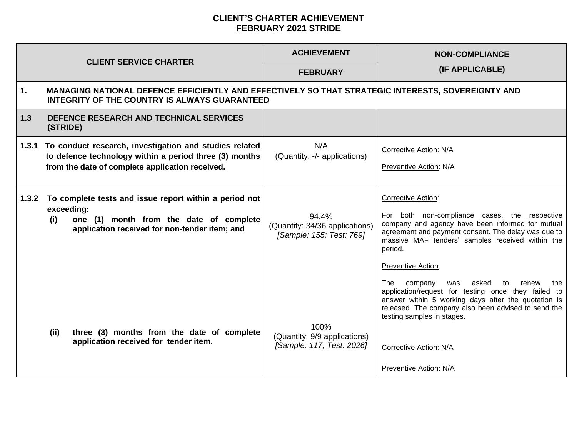## **CLIENT'S CHARTER ACHIEVEMENT FEBRUARY 2021 STRIDE**

|       | <b>CLIENT SERVICE CHARTER</b>                                                                                                                                             | <b>ACHIEVEMENT</b>                                                  | <b>NON-COMPLIANCE</b>                                                                                                                                                                                                                                                                                         |
|-------|---------------------------------------------------------------------------------------------------------------------------------------------------------------------------|---------------------------------------------------------------------|---------------------------------------------------------------------------------------------------------------------------------------------------------------------------------------------------------------------------------------------------------------------------------------------------------------|
|       |                                                                                                                                                                           | <b>FEBRUARY</b>                                                     | (IF APPLICABLE)                                                                                                                                                                                                                                                                                               |
| 1.    | MANAGING NATIONAL DEFENCE EFFICIENTLY AND EFFECTIVELY SO THAT STRATEGIC INTERESTS, SOVEREIGNTY AND<br><b>INTEGRITY OF THE COUNTRY IS ALWAYS GUARANTEED</b>                |                                                                     |                                                                                                                                                                                                                                                                                                               |
| 1.3   | DEFENCE RESEARCH AND TECHNICAL SERVICES<br>(STRIDE)                                                                                                                       |                                                                     |                                                                                                                                                                                                                                                                                                               |
|       | 1.3.1 To conduct research, investigation and studies related<br>to defence technology within a period three (3) months<br>from the date of complete application received. | N/A<br>(Quantity: -/- applications)                                 | Corrective Action: N/A<br>Preventive Action: N/A                                                                                                                                                                                                                                                              |
| 1.3.2 | To complete tests and issue report within a period not<br>exceeding:<br>one (1) month from the date of complete<br>(i)<br>application received for non-tender item; and   | 94.4%<br>(Quantity: 34/36 applications)<br>[Sample: 155; Test: 769] | <b>Corrective Action:</b><br>For both non-compliance cases, the respective<br>company and agency have been informed for mutual<br>agreement and payment consent. The delay was due to<br>massive MAF tenders' samples received within the<br>period.<br><b>Preventive Action:</b>                             |
|       | (ii)<br>three (3) months from the date of complete<br>application received for tender item.                                                                               | 100%<br>(Quantity: 9/9 applications)<br>[Sample: 117; Test: 2026]   | The .<br>company<br>asked<br>was<br>to<br>renew<br>the<br>application/request for testing once they failed to<br>answer within 5 working days after the quotation is<br>released. The company also been advised to send the<br>testing samples in stages.<br>Corrective Action: N/A<br>Preventive Action: N/A |